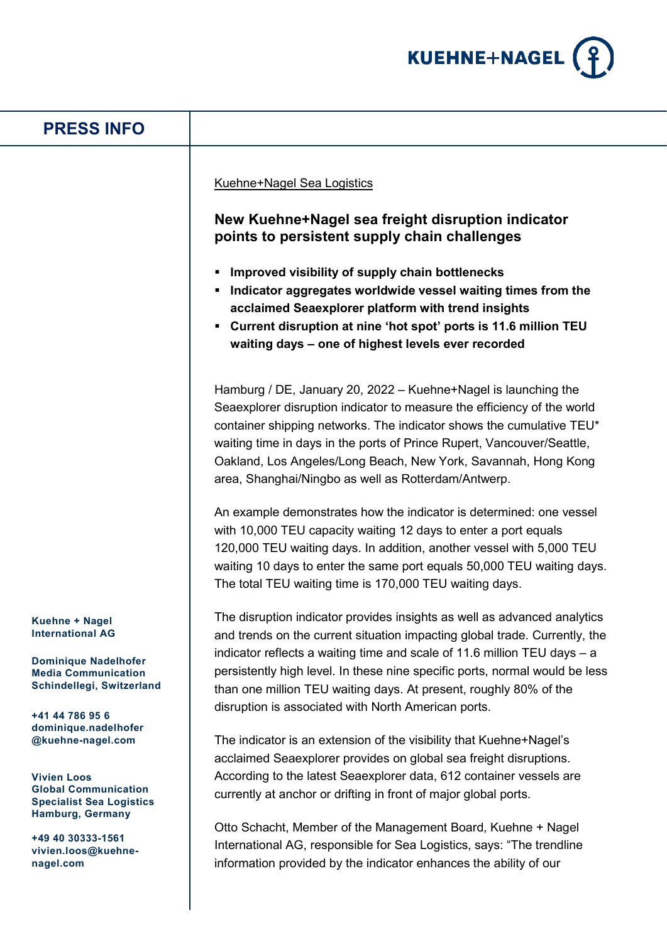

## **PRESS INFO**

Kuehne+Nagel Sea Logistics

## **New Kuehne+Nagel sea freight disruption indicator points to persistent supply chain challenges**

- **Improved visibility of supply chain bottlenecks**
- **Indicator aggregates worldwide vessel waiting times from the acclaimed Seaexplorer platform with trend insights**
- **Current disruption at nine 'hot spot' ports is 11.6 million TEU waiting days – one of highest levels ever recorded**

Hamburg / DE, January 20, 2022 – Kuehne+Nagel is launching the Seaexplorer disruption indicator to measure the efficiency of the world container shipping networks. The indicator shows the cumulative TEU\* waiting time in days in the ports of Prince Rupert, Vancouver/Seattle, Oakland, Los Angeles/Long Beach, New York, Savannah, Hong Kong area, Shanghai/Ningbo as well as Rotterdam/Antwerp.

An example demonstrates how the indicator is determined: one vessel with 10,000 TEU capacity waiting 12 days to enter a port equals 120,000 TEU waiting days. In addition, another vessel with 5,000 TEU waiting 10 days to enter the same port equals 50,000 TEU waiting days. The total TEU waiting time is 170,000 TEU waiting days.

The disruption indicator provides insights as well as advanced analytics and trends on the current situation impacting global trade. Currently, the indicator reflects a waiting time and scale of 11.6 million TEU days – a persistently high level. In these nine specific ports, normal would be less than one million TEU waiting days. At present, roughly 80% of the disruption is associated with North American ports.

The indicator is an extension of the visibility that Kuehne+Nagel's acclaimed Seaexplorer provides on global sea freight disruptions. According to the latest Seaexplorer data, 612 container vessels are currently at anchor or drifting in front of major global ports.

Otto Schacht, Member of the Management Board, Kuehne + Nagel International AG, responsible for Sea Logistics, says: "The trendline information provided by the indicator enhances the ability of our

**Kuehne + Nagel International AG**

**Dominique Nadelhofer Media Communication Schindellegi, Switzerland**

**+41 44 786 95 6 dominique.nadelhofer @kuehne-nagel.com**

**Vivien Loos Global Communication Specialist Sea Logistics Hamburg, Germany**

**+49 40 30333-1561 vivien.loos@kuehnenagel.com**